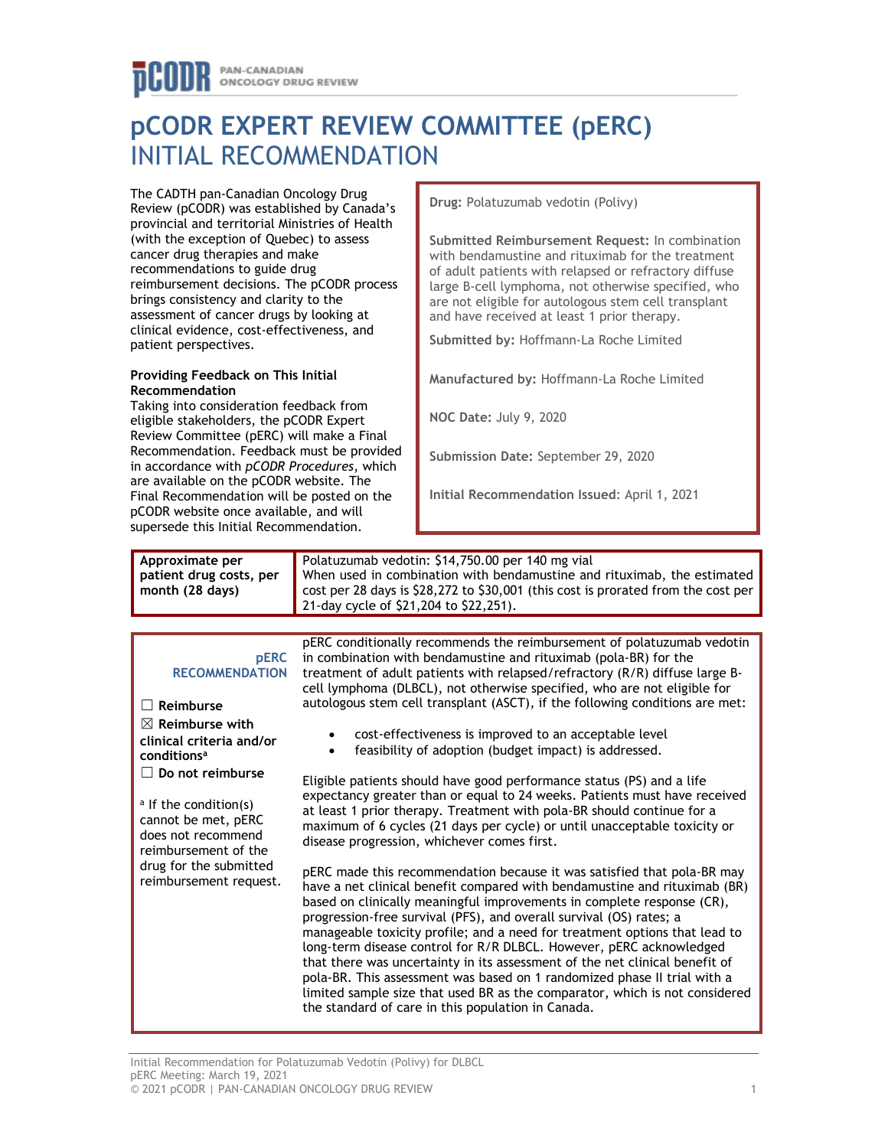# **pCODR EXPERT REVIEW COMMITTEE (pERC)** INITIAL RECOMMENDATION

The CADTH pan-Canadian Oncology Drug Review (pCODR) was established by Canada's provincial and territorial Ministries of Health (with the exception of Quebec) to assess cancer drug therapies and make recommendations to guide drug reimbursement decisions. The pCODR process brings consistency and clarity to the assessment of cancer drugs by looking at clinical evidence, cost-effectiveness, and patient perspectives.

#### **Providing Feedback on This Initial Recommendation**

Taking into consideration feedback from eligible stakeholders, the pCODR Expert Review Committee (pERC) will make a Final Recommendation. Feedback must be provided in accordance with *pCODR Procedures*, which are available on the pCODR website. The Final Recommendation will be posted on the pCODR website once available, and will supersede this Initial Recommendation.

**Drug:** Polatuzumab vedotin (Polivy)

**Submitted Reimbursement Request:** In combination with bendamustine and rituximab for the treatment of adult patients with relapsed or refractory diffuse large B-cell lymphoma, not otherwise specified, who are not eligible for autologous stem cell transplant and have received at least 1 prior therapy.

**Submitted by:** Hoffmann-La Roche Limited

**Manufactured by:** Hoffmann-La Roche Limited

**NOC Date:** July 9, 2020

**Submission Date:** September 29, 2020

**Initial Recommendation Issued**: April 1, 2021

| Approximate per<br>patient drug costs, per<br>month (28 days)                                                                                                                                                                                                                                                                         | Polatuzumab vedotin: \$14,750.00 per 140 mg vial<br>When used in combination with bendamustine and rituximab, the estimated<br>cost per 28 days is \$28,272 to \$30,001 (this cost is prorated from the cost per<br>21-day cycle of \$21,204 to \$22,251).                                                                                                                                                                                                                                                                                                                                                                                                                                                                                                                                                                                                                                                                                                                                                                                                                                                                                                                                                                                                                                                                                                                                                                                                                                                                                                                  |
|---------------------------------------------------------------------------------------------------------------------------------------------------------------------------------------------------------------------------------------------------------------------------------------------------------------------------------------|-----------------------------------------------------------------------------------------------------------------------------------------------------------------------------------------------------------------------------------------------------------------------------------------------------------------------------------------------------------------------------------------------------------------------------------------------------------------------------------------------------------------------------------------------------------------------------------------------------------------------------------------------------------------------------------------------------------------------------------------------------------------------------------------------------------------------------------------------------------------------------------------------------------------------------------------------------------------------------------------------------------------------------------------------------------------------------------------------------------------------------------------------------------------------------------------------------------------------------------------------------------------------------------------------------------------------------------------------------------------------------------------------------------------------------------------------------------------------------------------------------------------------------------------------------------------------------|
|                                                                                                                                                                                                                                                                                                                                       |                                                                                                                                                                                                                                                                                                                                                                                                                                                                                                                                                                                                                                                                                                                                                                                                                                                                                                                                                                                                                                                                                                                                                                                                                                                                                                                                                                                                                                                                                                                                                                             |
| <b>pERC</b><br><b>RECOMMENDATION</b><br>$\Box$ Reimburse<br>$\boxtimes$ Reimburse with<br>clinical criteria and/or<br>conditions <sup>a</sup><br>$\Box$ Do not reimburse<br><sup>a</sup> If the condition(s)<br>cannot be met, pERC<br>does not recommend<br>reimbursement of the<br>drug for the submitted<br>reimbursement request. | pERC conditionally recommends the reimbursement of polatuzumab vedotin<br>in combination with bendamustine and rituximab (pola-BR) for the<br>treatment of adult patients with relapsed/refractory (R/R) diffuse large B-<br>cell lymphoma (DLBCL), not otherwise specified, who are not eligible for<br>autologous stem cell transplant (ASCT), if the following conditions are met:<br>cost-effectiveness is improved to an acceptable level<br>feasibility of adoption (budget impact) is addressed.<br>Eligible patients should have good performance status (PS) and a life<br>expectancy greater than or equal to 24 weeks. Patients must have received<br>at least 1 prior therapy. Treatment with pola-BR should continue for a<br>maximum of 6 cycles (21 days per cycle) or until unacceptable toxicity or<br>disease progression, whichever comes first.<br>pERC made this recommendation because it was satisfied that pola-BR may<br>have a net clinical benefit compared with bendamustine and rituximab (BR)<br>based on clinically meaningful improvements in complete response (CR),<br>progression-free survival (PFS), and overall survival (OS) rates; a<br>manageable toxicity profile; and a need for treatment options that lead to<br>long-term disease control for R/R DLBCL. However, pERC acknowledged<br>that there was uncertainty in its assessment of the net clinical benefit of<br>pola-BR. This assessment was based on 1 randomized phase II trial with a<br>limited sample size that used BR as the comparator, which is not considered |
|                                                                                                                                                                                                                                                                                                                                       | the standard of care in this population in Canada.                                                                                                                                                                                                                                                                                                                                                                                                                                                                                                                                                                                                                                                                                                                                                                                                                                                                                                                                                                                                                                                                                                                                                                                                                                                                                                                                                                                                                                                                                                                          |

Initial Recommendation for Polatuzumab Vedotin (Polivy) for DLBCL pERC Meeting: March 19, 2021 © 2021 pCODR | PAN-CANADIAN ONCOLOGY DRUG REVIEW 1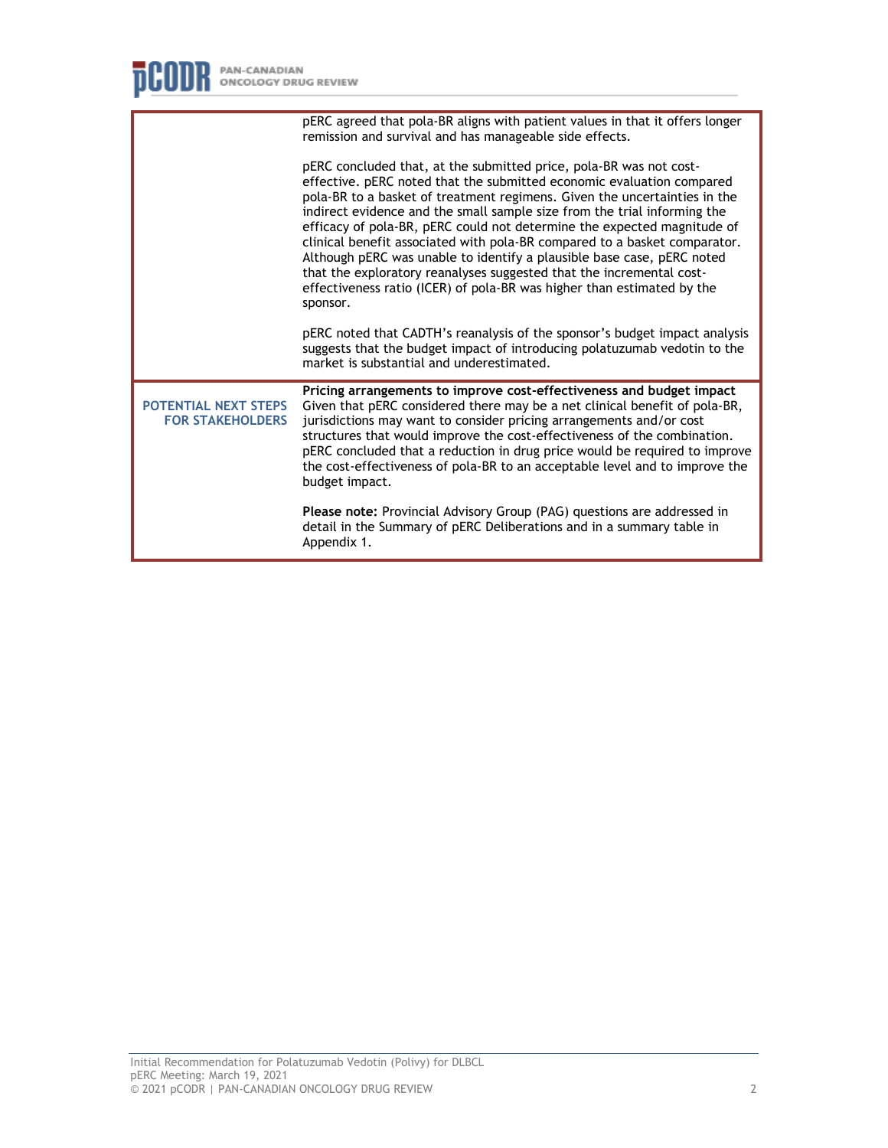|                                                        | pERC agreed that pola-BR aligns with patient values in that it offers longer<br>remission and survival and has manageable side effects.                                                                                                                                                                                                                                                                                                                                                                                                                                                                                                                                                              |
|--------------------------------------------------------|------------------------------------------------------------------------------------------------------------------------------------------------------------------------------------------------------------------------------------------------------------------------------------------------------------------------------------------------------------------------------------------------------------------------------------------------------------------------------------------------------------------------------------------------------------------------------------------------------------------------------------------------------------------------------------------------------|
|                                                        | pERC concluded that, at the submitted price, pola-BR was not cost-<br>effective. pERC noted that the submitted economic evaluation compared<br>pola-BR to a basket of treatment regimens. Given the uncertainties in the<br>indirect evidence and the small sample size from the trial informing the<br>efficacy of pola-BR, pERC could not determine the expected magnitude of<br>clinical benefit associated with pola-BR compared to a basket comparator.<br>Although pERC was unable to identify a plausible base case, pERC noted<br>that the exploratory reanalyses suggested that the incremental cost-<br>effectiveness ratio (ICER) of pola-BR was higher than estimated by the<br>sponsor. |
|                                                        | pERC noted that CADTH's reanalysis of the sponsor's budget impact analysis<br>suggests that the budget impact of introducing polatuzumab vedotin to the<br>market is substantial and underestimated.                                                                                                                                                                                                                                                                                                                                                                                                                                                                                                 |
| <b>POTENTIAL NEXT STEPS</b><br><b>FOR STAKEHOLDERS</b> | Pricing arrangements to improve cost-effectiveness and budget impact<br>Given that pERC considered there may be a net clinical benefit of pola-BR,<br>jurisdictions may want to consider pricing arrangements and/or cost<br>structures that would improve the cost-effectiveness of the combination.<br>pERC concluded that a reduction in drug price would be required to improve<br>the cost-effectiveness of pola-BR to an acceptable level and to improve the<br>budget impact.                                                                                                                                                                                                                 |
|                                                        | Please note: Provincial Advisory Group (PAG) questions are addressed in<br>detail in the Summary of pERC Deliberations and in a summary table in<br>Appendix 1.                                                                                                                                                                                                                                                                                                                                                                                                                                                                                                                                      |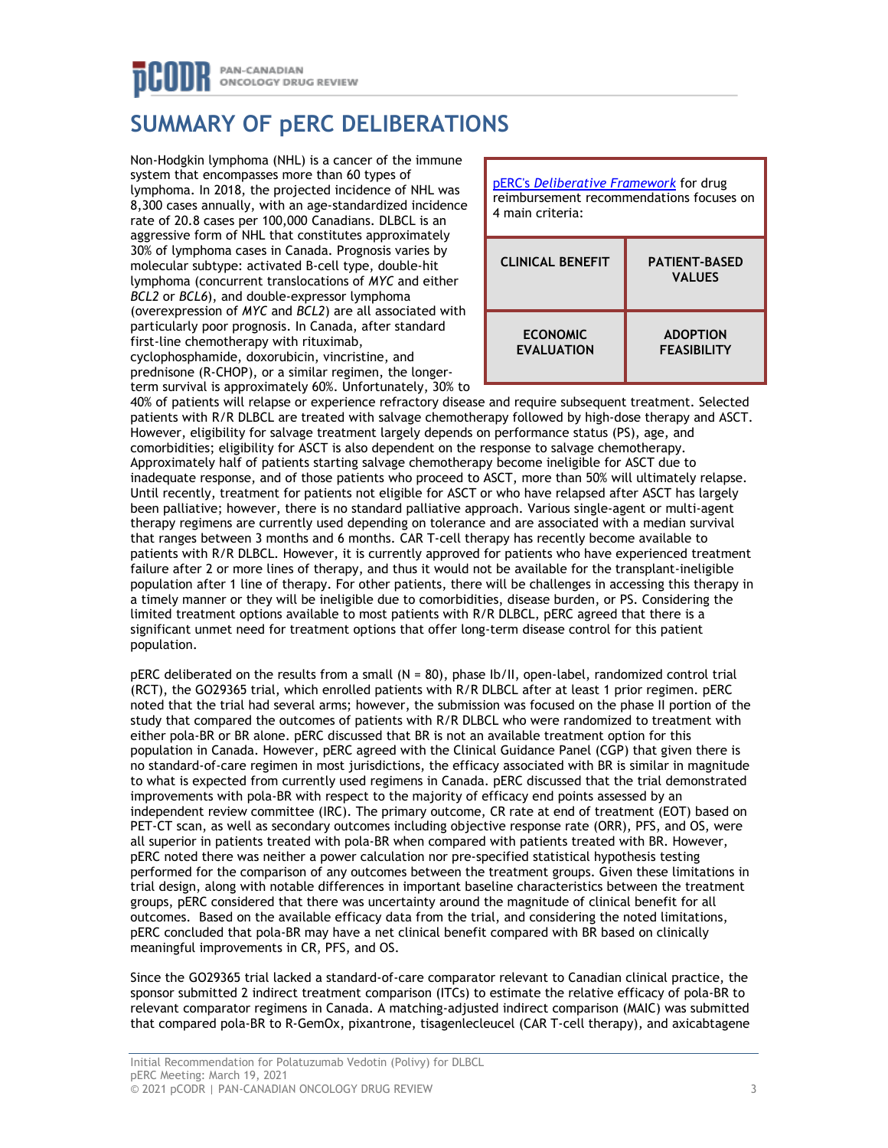## **SUMMARY OF pERC DELIBERATIONS**

Non-Hodgkin lymphoma (NHL) is a cancer of the immune system that encompasses more than 60 types of lymphoma. In 2018, the projected incidence of NHL was 8,300 cases annually, with an age-standardized incidence rate of 20.8 cases per 100,000 Canadians. DLBCL is an aggressive form of NHL that constitutes approximately 30% of lymphoma cases in Canada. Prognosis varies by molecular subtype: activated B-cell type, double-hit lymphoma (concurrent translocations of *MYC* and either *BCL2* or *BCL6*), and double-expressor lymphoma (overexpression of *MYC* and *BCL2*) are all associated with particularly poor prognosis. In Canada, after standard first-line chemotherapy with rituximab, cyclophosphamide, doxorubicin, vincristine, and prednisone (R-CHOP), or a similar regimen, the longerterm survival is approximately 60%. Unfortunately, 30% to



40% of patients will relapse or experience refractory disease and require subsequent treatment. Selected patients with R/R DLBCL are treated with salvage chemotherapy followed by high-dose therapy and ASCT. However, eligibility for salvage treatment largely depends on performance status (PS), age, and comorbidities; eligibility for ASCT is also dependent on the response to salvage chemotherapy. Approximately half of patients starting salvage chemotherapy become ineligible for ASCT due to inadequate response, and of those patients who proceed to ASCT, more than 50% will ultimately relapse. Until recently, treatment for patients not eligible for ASCT or who have relapsed after ASCT has largely been palliative; however, there is no standard palliative approach. Various single-agent or multi-agent therapy regimens are currently used depending on tolerance and are associated with a median survival that ranges between 3 months and 6 months. CAR T-cell therapy has recently become available to patients with R/R DLBCL. However, it is currently approved for patients who have experienced treatment failure after 2 or more lines of therapy, and thus it would not be available for the transplant-ineligible population after 1 line of therapy. For other patients, there will be challenges in accessing this therapy in a timely manner or they will be ineligible due to comorbidities, disease burden, or PS. Considering the limited treatment options available to most patients with R/R DLBCL, pERC agreed that there is a significant unmet need for treatment options that offer long-term disease control for this patient population.

pERC deliberated on the results from a small (N = 80), phase Ib/II, open-label, randomized control trial (RCT), the GO29365 trial, which enrolled patients with R/R DLBCL after at least 1 prior regimen. pERC noted that the trial had several arms; however, the submission was focused on the phase II portion of the study that compared the outcomes of patients with R/R DLBCL who were randomized to treatment with either pola-BR or BR alone. pERC discussed that BR is not an available treatment option for this population in Canada. However, pERC agreed with the Clinical Guidance Panel (CGP) that given there is no standard-of-care regimen in most jurisdictions, the efficacy associated with BR is similar in magnitude to what is expected from currently used regimens in Canada. pERC discussed that the trial demonstrated improvements with pola-BR with respect to the majority of efficacy end points assessed by an independent review committee (IRC). The primary outcome, CR rate at end of treatment (EOT) based on PET-CT scan, as well as secondary outcomes including objective response rate (ORR), PFS, and OS, were all superior in patients treated with pola-BR when compared with patients treated with BR. However, pERC noted there was neither a power calculation nor pre-specified statistical hypothesis testing performed for the comparison of any outcomes between the treatment groups. Given these limitations in trial design, along with notable differences in important baseline characteristics between the treatment groups, pERC considered that there was uncertainty around the magnitude of clinical benefit for all outcomes. Based on the available efficacy data from the trial, and considering the noted limitations, pERC concluded that pola-BR may have a net clinical benefit compared with BR based on clinically meaningful improvements in CR, PFS, and OS.

Since the GO29365 trial lacked a standard-of-care comparator relevant to Canadian clinical practice, the sponsor submitted 2 indirect treatment comparison (ITCs) to estimate the relative efficacy of pola-BR to relevant comparator regimens in Canada. A matching-adjusted indirect comparison (MAIC) was submitted that compared pola-BR to R-GemOx, pixantrone, tisagenlecleucel (CAR T-cell therapy), and axicabtagene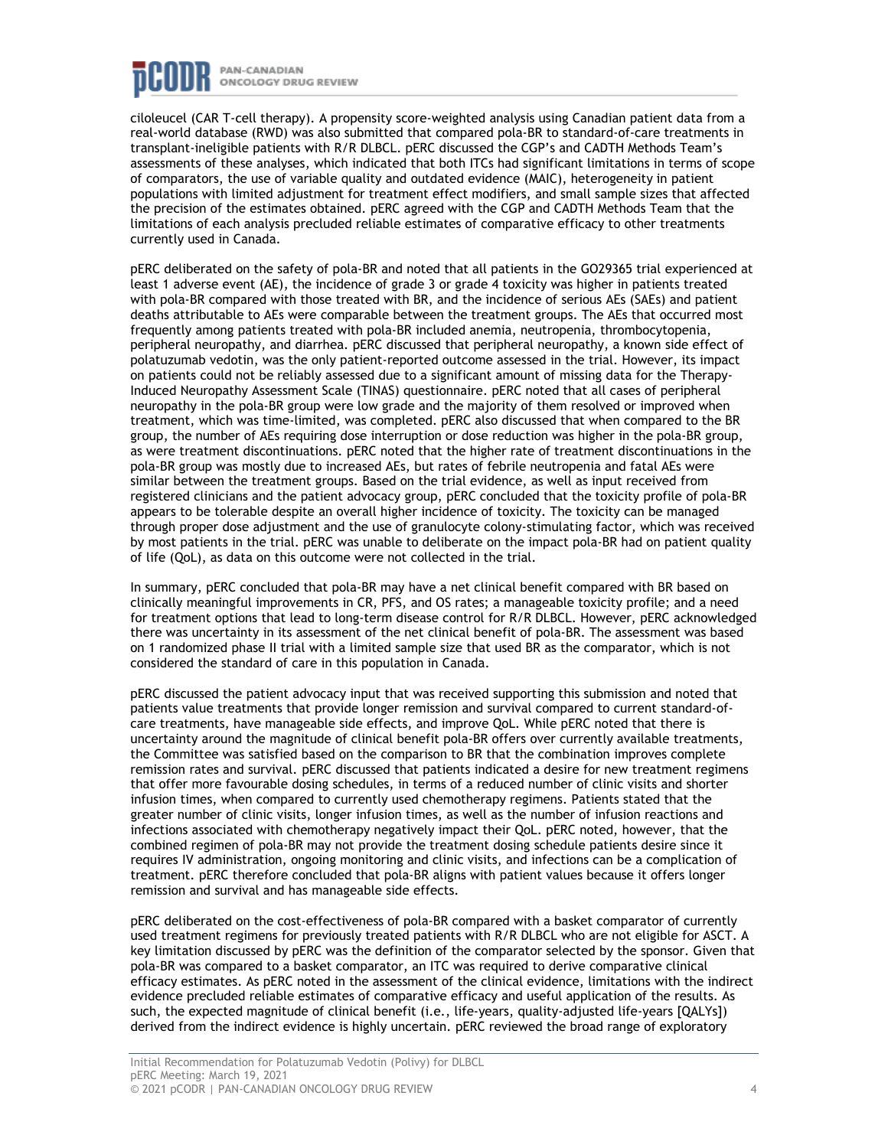

ciloleucel (CAR T-cell therapy). A propensity score-weighted analysis using Canadian patient data from a real-world database (RWD) was also submitted that compared pola-BR to standard-of-care treatments in transplant-ineligible patients with R/R DLBCL. pERC discussed the CGP's and CADTH Methods Team's assessments of these analyses, which indicated that both ITCs had significant limitations in terms of scope of comparators, the use of variable quality and outdated evidence (MAIC), heterogeneity in patient populations with limited adjustment for treatment effect modifiers, and small sample sizes that affected the precision of the estimates obtained. pERC agreed with the CGP and CADTH Methods Team that the limitations of each analysis precluded reliable estimates of comparative efficacy to other treatments currently used in Canada.

pERC deliberated on the safety of pola-BR and noted that all patients in the GO29365 trial experienced at least 1 adverse event (AE), the incidence of grade 3 or grade 4 toxicity was higher in patients treated with pola-BR compared with those treated with BR, and the incidence of serious AEs (SAEs) and patient deaths attributable to AEs were comparable between the treatment groups. The AEs that occurred most frequently among patients treated with pola-BR included anemia, neutropenia, thrombocytopenia, peripheral neuropathy, and diarrhea. pERC discussed that peripheral neuropathy, a known side effect of polatuzumab vedotin, was the only patient-reported outcome assessed in the trial. However, its impact on patients could not be reliably assessed due to a significant amount of missing data for the Therapy-Induced Neuropathy Assessment Scale (TINAS) questionnaire. pERC noted that all cases of peripheral neuropathy in the pola-BR group were low grade and the majority of them resolved or improved when treatment, which was time-limited, was completed. pERC also discussed that when compared to the BR group, the number of AEs requiring dose interruption or dose reduction was higher in the pola-BR group, as were treatment discontinuations. pERC noted that the higher rate of treatment discontinuations in the pola-BR group was mostly due to increased AEs, but rates of febrile neutropenia and fatal AEs were similar between the treatment groups. Based on the trial evidence, as well as input received from registered clinicians and the patient advocacy group, pERC concluded that the toxicity profile of pola-BR appears to be tolerable despite an overall higher incidence of toxicity. The toxicity can be managed through proper dose adjustment and the use of granulocyte colony-stimulating factor, which was received by most patients in the trial. pERC was unable to deliberate on the impact pola-BR had on patient quality of life (QoL), as data on this outcome were not collected in the trial.

In summary, pERC concluded that pola-BR may have a net clinical benefit compared with BR based on clinically meaningful improvements in CR, PFS, and OS rates; a manageable toxicity profile; and a need for treatment options that lead to long-term disease control for R/R DLBCL. However, pERC acknowledged there was uncertainty in its assessment of the net clinical benefit of pola-BR. The assessment was based on 1 randomized phase II trial with a limited sample size that used BR as the comparator, which is not considered the standard of care in this population in Canada.

pERC discussed the patient advocacy input that was received supporting this submission and noted that patients value treatments that provide longer remission and survival compared to current standard-ofcare treatments, have manageable side effects, and improve QoL. While pERC noted that there is uncertainty around the magnitude of clinical benefit pola-BR offers over currently available treatments, the Committee was satisfied based on the comparison to BR that the combination improves complete remission rates and survival. pERC discussed that patients indicated a desire for new treatment regimens that offer more favourable dosing schedules, in terms of a reduced number of clinic visits and shorter infusion times, when compared to currently used chemotherapy regimens. Patients stated that the greater number of clinic visits, longer infusion times, as well as the number of infusion reactions and infections associated with chemotherapy negatively impact their QoL. pERC noted, however, that the combined regimen of pola-BR may not provide the treatment dosing schedule patients desire since it requires IV administration, ongoing monitoring and clinic visits, and infections can be a complication of treatment. pERC therefore concluded that pola-BR aligns with patient values because it offers longer remission and survival and has manageable side effects.

pERC deliberated on the cost-effectiveness of pola-BR compared with a basket comparator of currently used treatment regimens for previously treated patients with R/R DLBCL who are not eligible for ASCT. A key limitation discussed by pERC was the definition of the comparator selected by the sponsor. Given that pola-BR was compared to a basket comparator, an ITC was required to derive comparative clinical efficacy estimates. As pERC noted in the assessment of the clinical evidence, limitations with the indirect evidence precluded reliable estimates of comparative efficacy and useful application of the results. As such, the expected magnitude of clinical benefit (i.e., life-years, quality-adjusted life-years [QALYs]) derived from the indirect evidence is highly uncertain. pERC reviewed the broad range of exploratory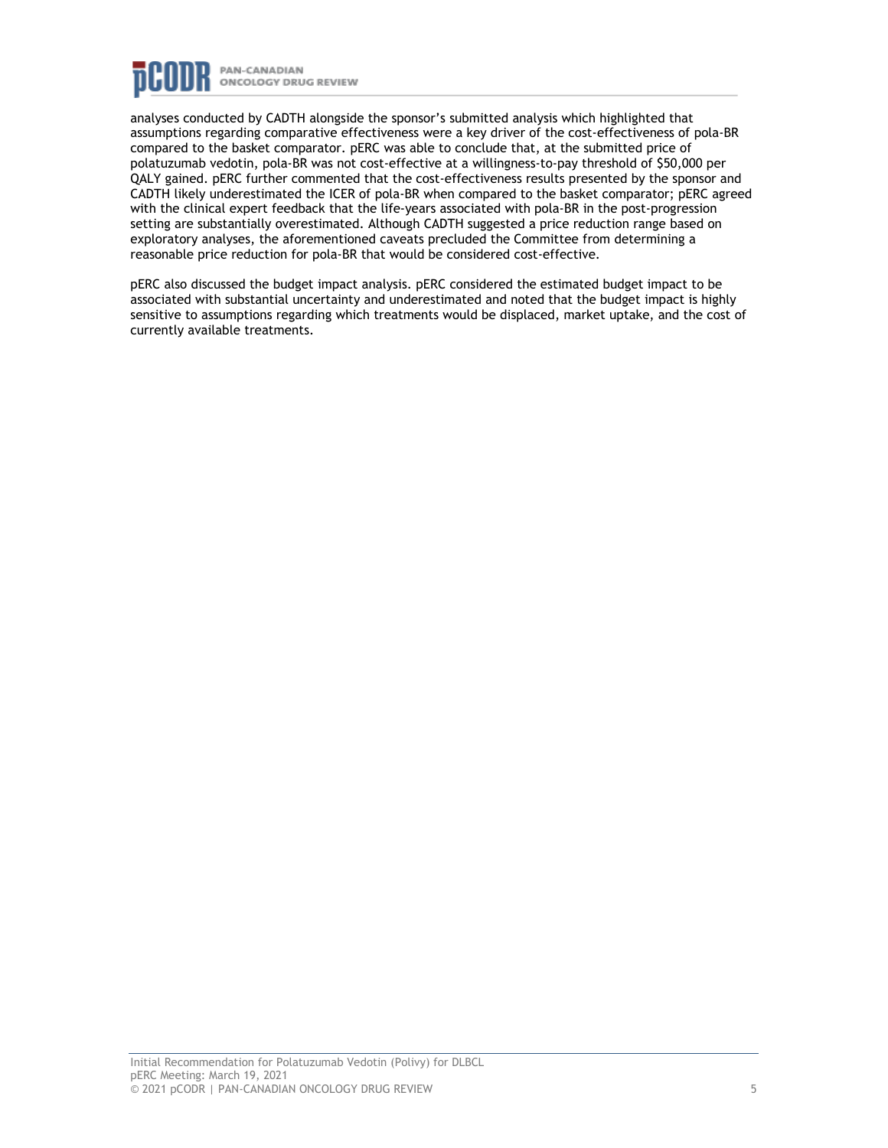

analyses conducted by CADTH alongside the sponsor's submitted analysis which highlighted that assumptions regarding comparative effectiveness were a key driver of the cost-effectiveness of pola-BR compared to the basket comparator. pERC was able to conclude that, at the submitted price of polatuzumab vedotin, pola-BR was not cost-effective at a willingness-to-pay threshold of \$50,000 per QALY gained. pERC further commented that the cost-effectiveness results presented by the sponsor and CADTH likely underestimated the ICER of pola-BR when compared to the basket comparator; pERC agreed with the clinical expert feedback that the life-years associated with pola-BR in the post-progression setting are substantially overestimated. Although CADTH suggested a price reduction range based on exploratory analyses, the aforementioned caveats precluded the Committee from determining a reasonable price reduction for pola-BR that would be considered cost-effective.

pERC also discussed the budget impact analysis. pERC considered the estimated budget impact to be associated with substantial uncertainty and underestimated and noted that the budget impact is highly sensitive to assumptions regarding which treatments would be displaced, market uptake, and the cost of currently available treatments.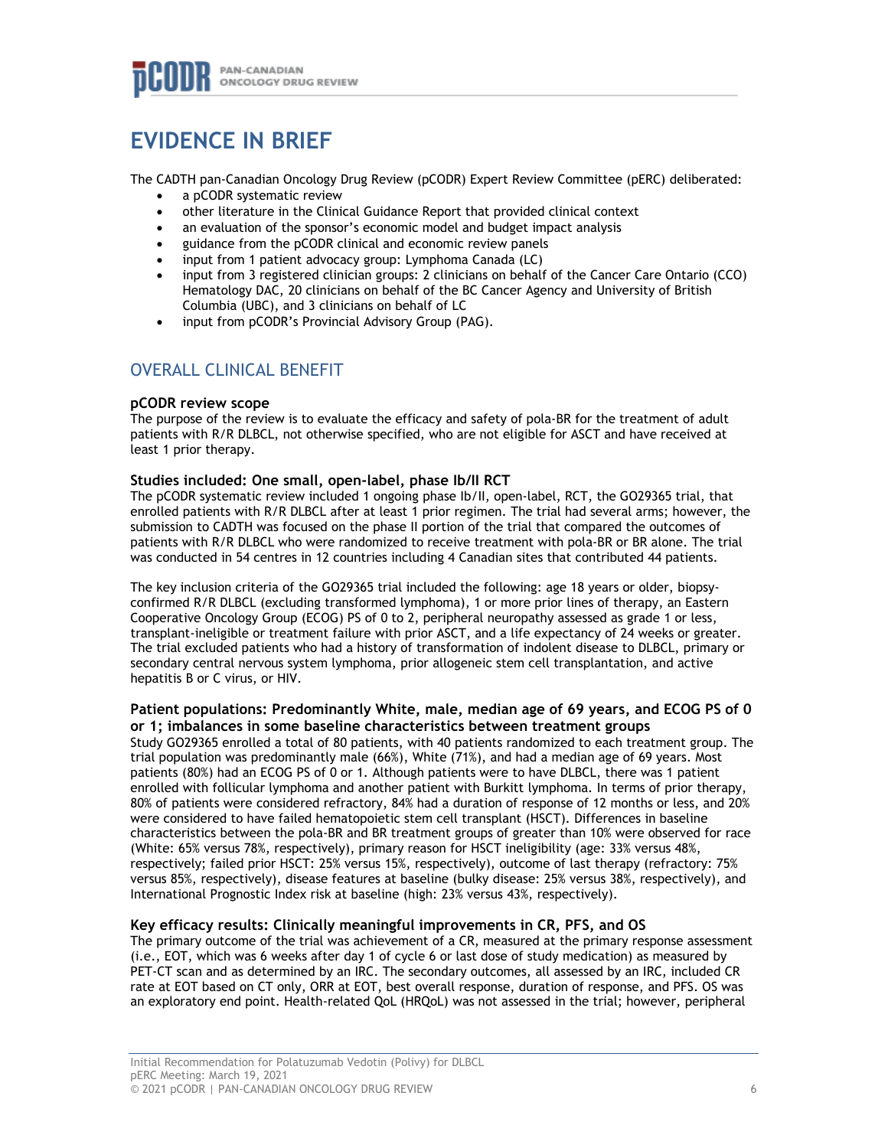

## **EVIDENCE IN BRIEF**

The CADTH pan-Canadian Oncology Drug Review (pCODR) Expert Review Committee (pERC) deliberated:

- a pCODR systematic review
- other literature in the Clinical Guidance Report that provided clinical context
- an evaluation of the sponsor's economic model and budget impact analysis
- guidance from the pCODR clinical and economic review panels
- input from 1 patient advocacy group: Lymphoma Canada (LC)
- input from 3 registered clinician groups: 2 clinicians on behalf of the Cancer Care Ontario (CCO) Hematology DAC, 20 clinicians on behalf of the BC Cancer Agency and University of British Columbia (UBC), and 3 clinicians on behalf of LC
- input from pCODR's Provincial Advisory Group (PAG).

### OVERALL CLINICAL BENEFIT

#### **pCODR review scope**

The purpose of the review is to evaluate the efficacy and safety of pola-BR for the treatment of adult patients with R/R DLBCL, not otherwise specified, who are not eligible for ASCT and have received at least 1 prior therapy.

#### **Studies included: One small, open-label, phase Ib/II RCT**

The pCODR systematic review included 1 ongoing phase Ib/II, open-label, RCT, the GO29365 trial, that enrolled patients with R/R DLBCL after at least 1 prior regimen. The trial had several arms; however, the submission to CADTH was focused on the phase II portion of the trial that compared the outcomes of patients with R/R DLBCL who were randomized to receive treatment with pola-BR or BR alone. The trial was conducted in 54 centres in 12 countries including 4 Canadian sites that contributed 44 patients.

The key inclusion criteria of the GO29365 trial included the following: age 18 years or older, biopsyconfirmed R/R DLBCL (excluding transformed lymphoma), 1 or more prior lines of therapy, an Eastern Cooperative Oncology Group (ECOG) PS of 0 to 2, peripheral neuropathy assessed as grade 1 or less, transplant-ineligible or treatment failure with prior ASCT, and a life expectancy of 24 weeks or greater. The trial excluded patients who had a history of transformation of indolent disease to DLBCL, primary or secondary central nervous system lymphoma, prior allogeneic stem cell transplantation, and active hepatitis B or C virus, or HIV.

#### **Patient populations: Predominantly White, male, median age of 69 years, and ECOG PS of 0 or 1; imbalances in some baseline characteristics between treatment groups**

Study GO29365 enrolled a total of 80 patients, with 40 patients randomized to each treatment group. The trial population was predominantly male (66%), White (71%), and had a median age of 69 years. Most patients (80%) had an ECOG PS of 0 or 1. Although patients were to have DLBCL, there was 1 patient enrolled with follicular lymphoma and another patient with Burkitt lymphoma. In terms of prior therapy, 80% of patients were considered refractory, 84% had a duration of response of 12 months or less, and 20% were considered to have failed hematopoietic stem cell transplant (HSCT). Differences in baseline characteristics between the pola-BR and BR treatment groups of greater than 10% were observed for race (White: 65% versus 78%, respectively), primary reason for HSCT ineligibility (age: 33% versus 48%, respectively; failed prior HSCT: 25% versus 15%, respectively), outcome of last therapy (refractory: 75% versus 85%, respectively), disease features at baseline (bulky disease: 25% versus 38%, respectively), and International Prognostic Index risk at baseline (high: 23% versus 43%, respectively).

#### **Key efficacy results: Clinically meaningful improvements in CR, PFS, and OS**

The primary outcome of the trial was achievement of a CR, measured at the primary response assessment (i.e., EOT, which was 6 weeks after day 1 of cycle 6 or last dose of study medication) as measured by PET-CT scan and as determined by an IRC. The secondary outcomes, all assessed by an IRC, included CR rate at EOT based on CT only, ORR at EOT, best overall response, duration of response, and PFS. OS was an exploratory end point. Health-related QoL (HRQoL) was not assessed in the trial; however, peripheral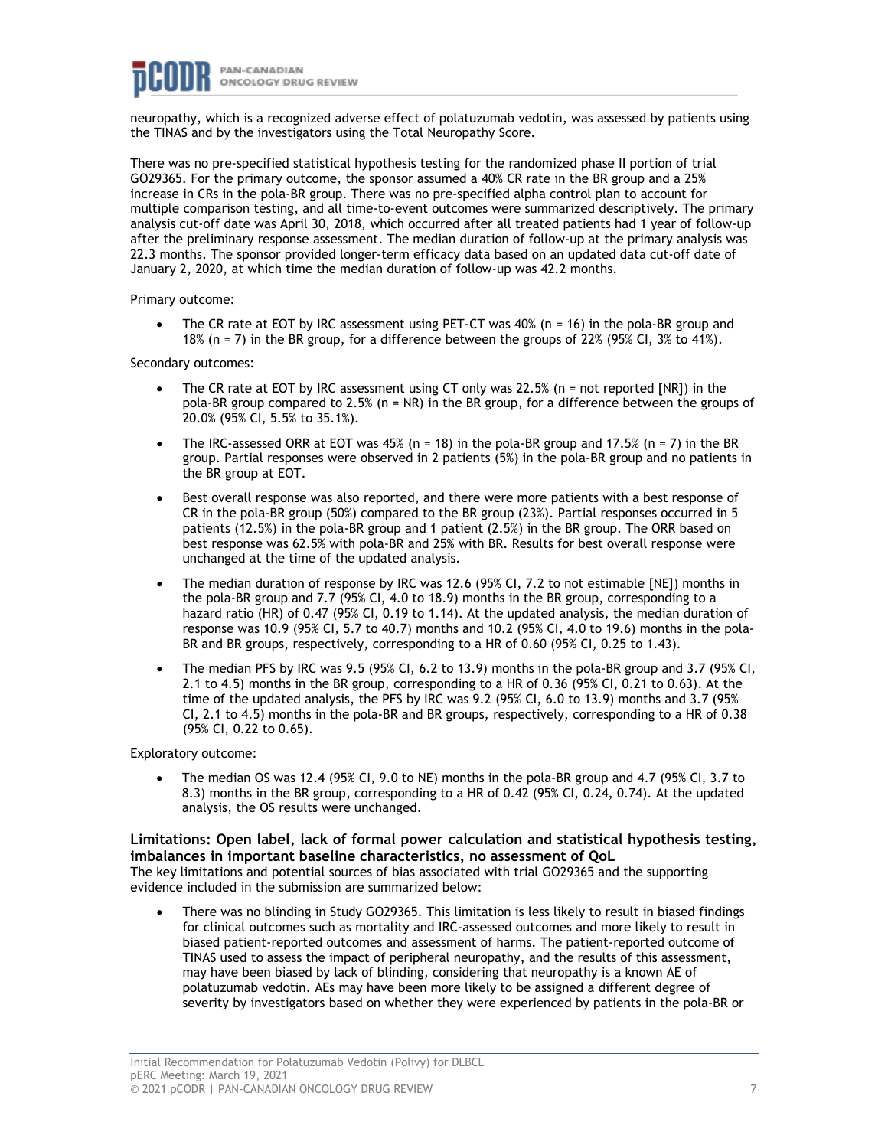neuropathy, which is a recognized adverse effect of polatuzumab vedotin, was assessed by patients using the TINAS and by the investigators using the Total Neuropathy Score.

There was no pre-specified statistical hypothesis testing for the randomized phase II portion of trial GO29365. For the primary outcome, the sponsor assumed a 40% CR rate in the BR group and a 25% increase in CRs in the pola-BR group. There was no pre-specified alpha control plan to account for multiple comparison testing, and all time-to-event outcomes were summarized descriptively. The primary analysis cut-off date was April 30, 2018, which occurred after all treated patients had 1 year of follow-up after the preliminary response assessment. The median duration of follow-up at the primary analysis was 22.3 months. The sponsor provided longer-term efficacy data based on an updated data cut-off date of January 2, 2020, at which time the median duration of follow-up was 42.2 months.

Primary outcome:

• The CR rate at EOT by IRC assessment using PET-CT was 40% (n = 16) in the pola-BR group and 18% (n = 7) in the BR group, for a difference between the groups of 22% (95% CI, 3% to 41%).

Secondary outcomes:

- The CR rate at EOT by IRC assessment using CT only was 22.5% (n = not reported [NR]) in the pola-BR group compared to 2.5% (n = NR) in the BR group, for a difference between the groups of 20.0% (95% CI, 5.5% to 35.1%).
- The IRC-assessed ORR at EOT was 45% (n = 18) in the pola-BR group and 17.5% (n = 7) in the BR group. Partial responses were observed in 2 patients (5%) in the pola-BR group and no patients in the BR group at EOT.
- Best overall response was also reported, and there were more patients with a best response of CR in the pola-BR group (50%) compared to the BR group (23%). Partial responses occurred in 5 patients (12.5%) in the pola-BR group and 1 patient (2.5%) in the BR group. The ORR based on best response was 62.5% with pola-BR and 25% with BR. Results for best overall response were unchanged at the time of the updated analysis.
- The median duration of response by IRC was 12.6 (95% CI, 7.2 to not estimable [NE]) months in the pola-BR group and 7.7 (95% CI, 4.0 to 18.9) months in the BR group, corresponding to a hazard ratio (HR) of 0.47 (95% CI, 0.19 to 1.14). At the updated analysis, the median duration of response was 10.9 (95% CI, 5.7 to 40.7) months and 10.2 (95% CI, 4.0 to 19.6) months in the pola-BR and BR groups, respectively, corresponding to a HR of 0.60 (95% CI, 0.25 to 1.43).
- The median PFS by IRC was 9.5 (95% CI, 6.2 to 13.9) months in the pola-BR group and 3.7 (95% CI, 2.1 to 4.5) months in the BR group, corresponding to a HR of 0.36 (95% CI, 0.21 to 0.63). At the time of the updated analysis, the PFS by IRC was 9.2 (95% CI, 6.0 to 13.9) months and 3.7 (95% CI, 2.1 to 4.5) months in the pola-BR and BR groups, respectively, corresponding to a HR of 0.38 (95% CI, 0.22 to 0.65).

Exploratory outcome:

• The median OS was 12.4 (95% CI, 9.0 to NE) months in the pola-BR group and 4.7 (95% CI, 3.7 to 8.3) months in the BR group, corresponding to a HR of 0.42 (95% CI, 0.24, 0.74). At the updated analysis, the OS results were unchanged.

#### **Limitations: Open label, lack of formal power calculation and statistical hypothesis testing, imbalances in important baseline characteristics, no assessment of QoL**

The key limitations and potential sources of bias associated with trial GO29365 and the supporting evidence included in the submission are summarized below:

• There was no blinding in Study GO29365. This limitation is less likely to result in biased findings for clinical outcomes such as mortality and IRC-assessed outcomes and more likely to result in biased patient-reported outcomes and assessment of harms. The patient-reported outcome of TINAS used to assess the impact of peripheral neuropathy, and the results of this assessment, may have been biased by lack of blinding, considering that neuropathy is a known AE of polatuzumab vedotin. AEs may have been more likely to be assigned a different degree of severity by investigators based on whether they were experienced by patients in the pola-BR or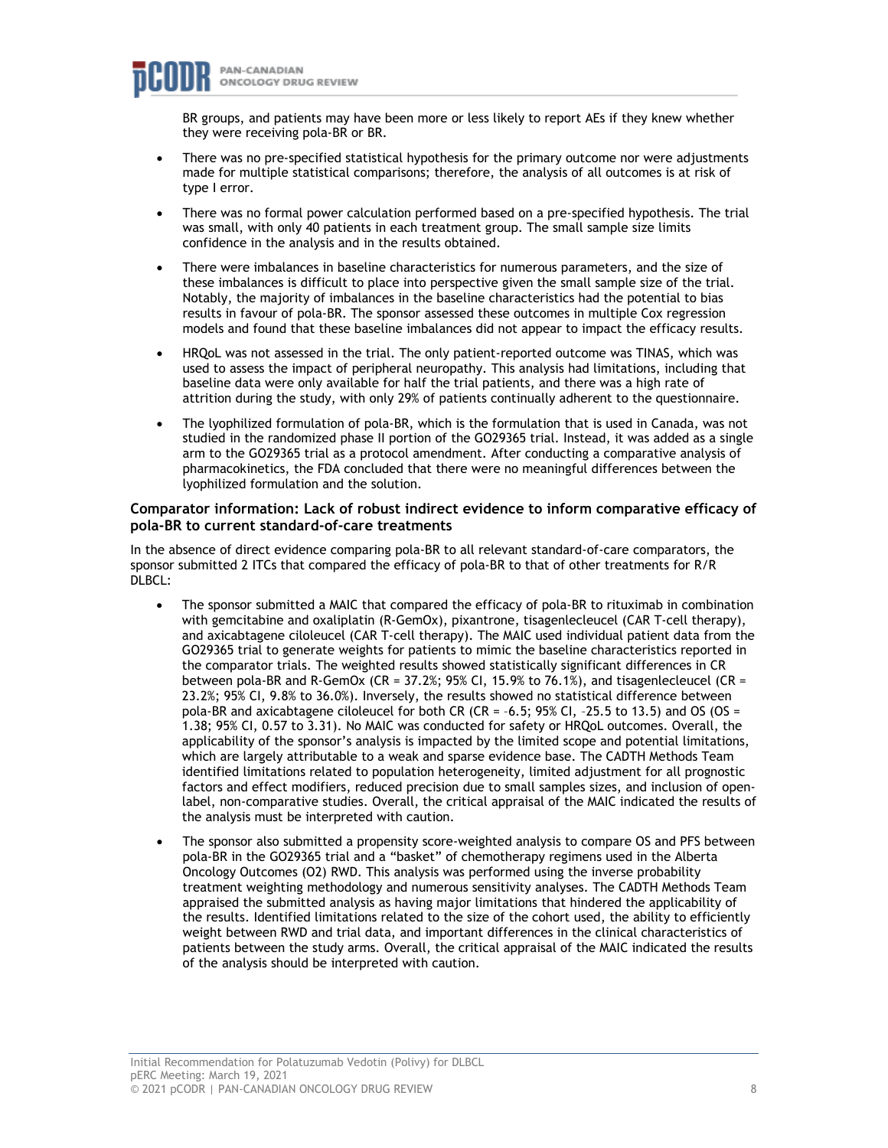BR groups, and patients may have been more or less likely to report AEs if they knew whether they were receiving pola-BR or BR.

- There was no pre-specified statistical hypothesis for the primary outcome nor were adjustments made for multiple statistical comparisons; therefore, the analysis of all outcomes is at risk of type I error.
- There was no formal power calculation performed based on a pre-specified hypothesis. The trial was small, with only 40 patients in each treatment group. The small sample size limits confidence in the analysis and in the results obtained.
- There were imbalances in baseline characteristics for numerous parameters, and the size of these imbalances is difficult to place into perspective given the small sample size of the trial. Notably, the majority of imbalances in the baseline characteristics had the potential to bias results in favour of pola-BR. The sponsor assessed these outcomes in multiple Cox regression models and found that these baseline imbalances did not appear to impact the efficacy results.
- HRQoL was not assessed in the trial. The only patient-reported outcome was TINAS, which was used to assess the impact of peripheral neuropathy. This analysis had limitations, including that baseline data were only available for half the trial patients, and there was a high rate of attrition during the study, with only 29% of patients continually adherent to the questionnaire.
- The lyophilized formulation of pola-BR, which is the formulation that is used in Canada, was not studied in the randomized phase II portion of the GO29365 trial. Instead, it was added as a single arm to the GO29365 trial as a protocol amendment. After conducting a comparative analysis of pharmacokinetics, the FDA concluded that there were no meaningful differences between the lyophilized formulation and the solution.

#### **Comparator information: Lack of robust indirect evidence to inform comparative efficacy of pola-BR to current standard-of-care treatments**

In the absence of direct evidence comparing pola-BR to all relevant standard-of-care comparators, the sponsor submitted 2 ITCs that compared the efficacy of pola-BR to that of other treatments for R/R DLBCL:

- The sponsor submitted a MAIC that compared the efficacy of pola-BR to rituximab in combination with gemcitabine and oxaliplatin (R-GemOx), pixantrone, tisagenlecleucel (CAR T-cell therapy), and axicabtagene ciloleucel (CAR T-cell therapy). The MAIC used individual patient data from the GO29365 trial to generate weights for patients to mimic the baseline characteristics reported in the comparator trials. The weighted results showed statistically significant differences in CR between pola-BR and R-GemOx (CR =  $37.2\%$ ; 95% CI, 15.9% to 76.1%), and tisagenlecleucel (CR = 23.2%; 95% CI, 9.8% to 36.0%). Inversely, the results showed no statistical difference between pola-BR and axicabtagene ciloleucel for both CR (CR =  $-6.5$ ; 95% CI,  $-25.5$  to 13.5) and OS (OS = 1.38; 95% CI, 0.57 to 3.31). No MAIC was conducted for safety or HRQoL outcomes. Overall, the applicability of the sponsor's analysis is impacted by the limited scope and potential limitations, which are largely attributable to a weak and sparse evidence base. The CADTH Methods Team identified limitations related to population heterogeneity, limited adjustment for all prognostic factors and effect modifiers, reduced precision due to small samples sizes, and inclusion of openlabel, non-comparative studies. Overall, the critical appraisal of the MAIC indicated the results of the analysis must be interpreted with caution.
- The sponsor also submitted a propensity score-weighted analysis to compare OS and PFS between pola-BR in the GO29365 trial and a "basket" of chemotherapy regimens used in the Alberta Oncology Outcomes (O2) RWD. This analysis was performed using the inverse probability treatment weighting methodology and numerous sensitivity analyses. The CADTH Methods Team appraised the submitted analysis as having major limitations that hindered the applicability of the results. Identified limitations related to the size of the cohort used, the ability to efficiently weight between RWD and trial data, and important differences in the clinical characteristics of patients between the study arms. Overall, the critical appraisal of the MAIC indicated the results of the analysis should be interpreted with caution.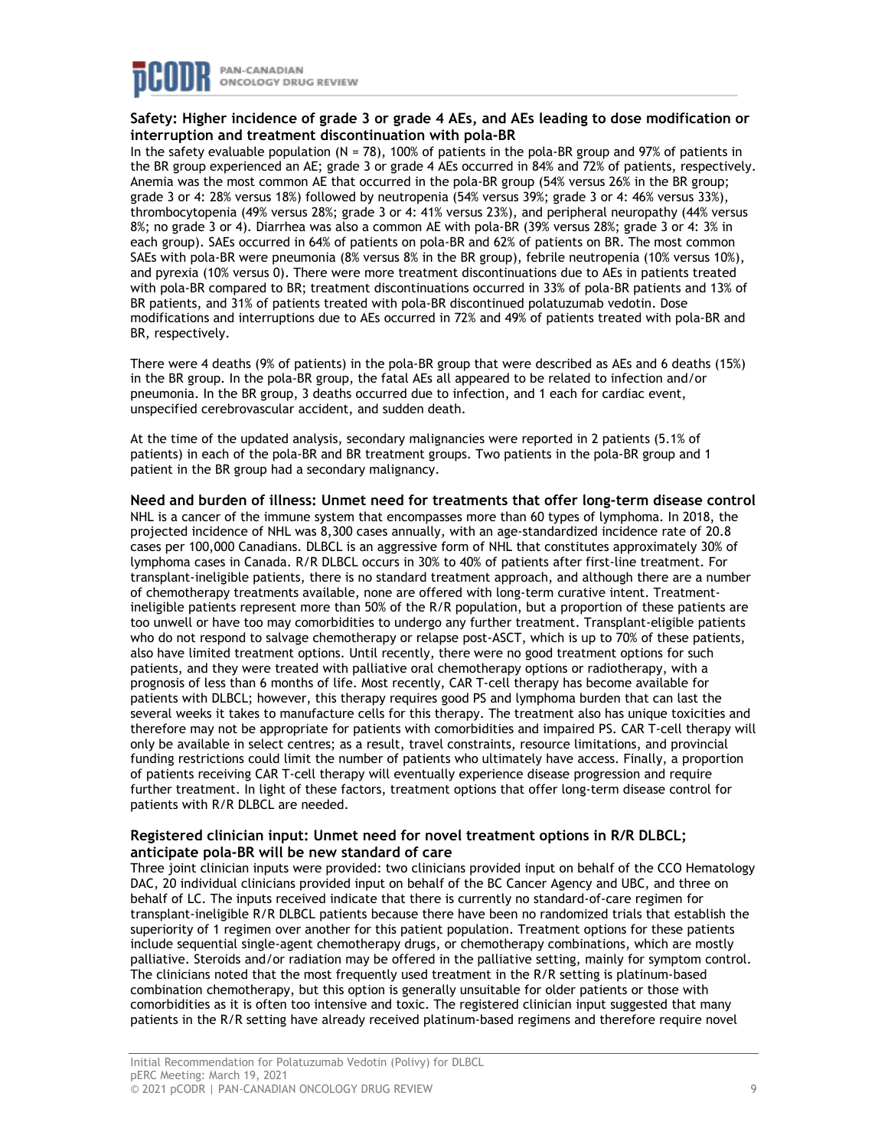

#### **Safety: Higher incidence of grade 3 or grade 4 AEs, and AEs leading to dose modification or interruption and treatment discontinuation with pola-BR**

In the safety evaluable population (N = 78), 100% of patients in the pola-BR group and 97% of patients in the BR group experienced an AE; grade 3 or grade 4 AEs occurred in 84% and 72% of patients, respectively. Anemia was the most common AE that occurred in the pola-BR group (54% versus 26% in the BR group; grade 3 or 4: 28% versus 18%) followed by neutropenia (54% versus 39%; grade 3 or 4: 46% versus 33%), thrombocytopenia (49% versus 28%; grade 3 or 4: 41% versus 23%), and peripheral neuropathy (44% versus 8%; no grade 3 or 4). Diarrhea was also a common AE with pola-BR (39% versus 28%; grade 3 or 4: 3% in each group). SAEs occurred in 64% of patients on pola-BR and 62% of patients on BR. The most common SAEs with pola-BR were pneumonia (8% versus 8% in the BR group), febrile neutropenia (10% versus 10%), and pyrexia (10% versus 0). There were more treatment discontinuations due to AEs in patients treated with pola-BR compared to BR; treatment discontinuations occurred in 33% of pola-BR patients and 13% of BR patients, and 31% of patients treated with pola-BR discontinued polatuzumab vedotin. Dose modifications and interruptions due to AEs occurred in 72% and 49% of patients treated with pola-BR and BR, respectively.

There were 4 deaths (9% of patients) in the pola-BR group that were described as AEs and 6 deaths (15%) in the BR group. In the pola-BR group, the fatal AEs all appeared to be related to infection and/or pneumonia. In the BR group, 3 deaths occurred due to infection, and 1 each for cardiac event, unspecified cerebrovascular accident, and sudden death.

At the time of the updated analysis, secondary malignancies were reported in 2 patients (5.1% of patients) in each of the pola-BR and BR treatment groups. Two patients in the pola-BR group and 1 patient in the BR group had a secondary malignancy.

**Need and burden of illness: Unmet need for treatments that offer long-term disease control** NHL is a cancer of the immune system that encompasses more than 60 types of lymphoma. In 2018, the projected incidence of NHL was 8,300 cases annually, with an age-standardized incidence rate of 20.8 cases per 100,000 Canadians. DLBCL is an aggressive form of NHL that constitutes approximately 30% of lymphoma cases in Canada. R/R DLBCL occurs in 30% to 40% of patients after first-line treatment. For transplant-ineligible patients, there is no standard treatment approach, and although there are a number of chemotherapy treatments available, none are offered with long-term curative intent. Treatmentineligible patients represent more than 50% of the R/R population, but a proportion of these patients are too unwell or have too may comorbidities to undergo any further treatment. Transplant-eligible patients who do not respond to salvage chemotherapy or relapse post-ASCT, which is up to 70% of these patients, also have limited treatment options. Until recently, there were no good treatment options for such patients, and they were treated with palliative oral chemotherapy options or radiotherapy, with a prognosis of less than 6 months of life. Most recently, CAR T-cell therapy has become available for patients with DLBCL; however, this therapy requires good PS and lymphoma burden that can last the several weeks it takes to manufacture cells for this therapy. The treatment also has unique toxicities and therefore may not be appropriate for patients with comorbidities and impaired PS. CAR T-cell therapy will only be available in select centres; as a result, travel constraints, resource limitations, and provincial funding restrictions could limit the number of patients who ultimately have access. Finally, a proportion of patients receiving CAR T-cell therapy will eventually experience disease progression and require further treatment. In light of these factors, treatment options that offer long-term disease control for patients with R/R DLBCL are needed.

#### **Registered clinician input: Unmet need for novel treatment options in R/R DLBCL; anticipate pola-BR will be new standard of care**

Three joint clinician inputs were provided: two clinicians provided input on behalf of the CCO Hematology DAC, 20 individual clinicians provided input on behalf of the BC Cancer Agency and UBC, and three on behalf of LC. The inputs received indicate that there is currently no standard-of-care regimen for transplant-ineligible R/R DLBCL patients because there have been no randomized trials that establish the superiority of 1 regimen over another for this patient population. Treatment options for these patients include sequential single-agent chemotherapy drugs, or chemotherapy combinations, which are mostly palliative. Steroids and/or radiation may be offered in the palliative setting, mainly for symptom control. The clinicians noted that the most frequently used treatment in the R/R setting is platinum-based combination chemotherapy, but this option is generally unsuitable for older patients or those with comorbidities as it is often too intensive and toxic. The registered clinician input suggested that many patients in the R/R setting have already received platinum-based regimens and therefore require novel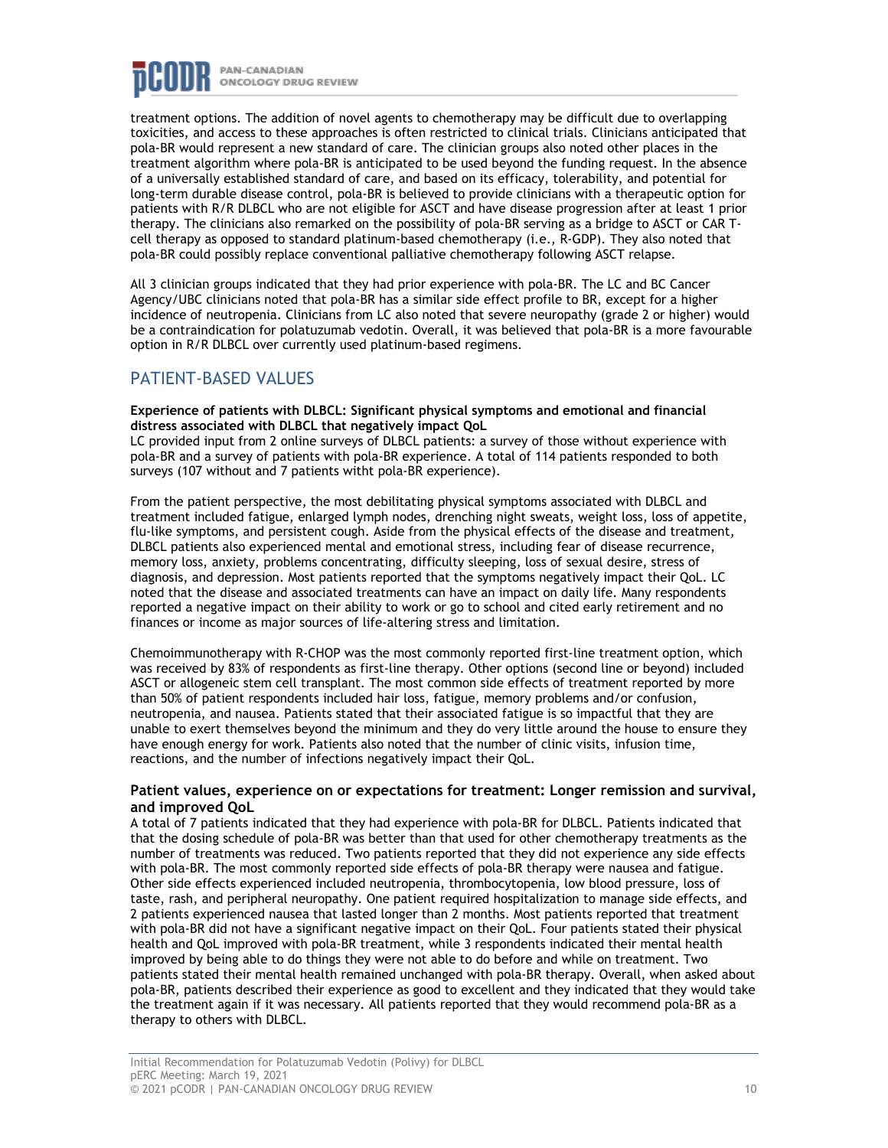

treatment options. The addition of novel agents to chemotherapy may be difficult due to overlapping toxicities, and access to these approaches is often restricted to clinical trials. Clinicians anticipated that pola-BR would represent a new standard of care. The clinician groups also noted other places in the treatment algorithm where pola-BR is anticipated to be used beyond the funding request. In the absence of a universally established standard of care, and based on its efficacy, tolerability, and potential for long-term durable disease control, pola-BR is believed to provide clinicians with a therapeutic option for patients with R/R DLBCL who are not eligible for ASCT and have disease progression after at least 1 prior therapy. The clinicians also remarked on the possibility of pola-BR serving as a bridge to ASCT or CAR Tcell therapy as opposed to standard platinum-based chemotherapy (i.e., R-GDP). They also noted that pola-BR could possibly replace conventional palliative chemotherapy following ASCT relapse.

All 3 clinician groups indicated that they had prior experience with pola-BR. The LC and BC Cancer Agency/UBC clinicians noted that pola-BR has a similar side effect profile to BR, except for a higher incidence of neutropenia. Clinicians from LC also noted that severe neuropathy (grade 2 or higher) would be a contraindication for polatuzumab vedotin. Overall, it was believed that pola-BR is a more favourable option in R/R DLBCL over currently used platinum-based regimens.

### PATIENT-BASED VALUES

**Experience of patients with DLBCL: Significant physical symptoms and emotional and financial distress associated with DLBCL that negatively impact QoL**

LC provided input from 2 online surveys of DLBCL patients: a survey of those without experience with pola-BR and a survey of patients with pola-BR experience. A total of 114 patients responded to both surveys (107 without and 7 patients witht pola-BR experience).

From the patient perspective, the most debilitating physical symptoms associated with DLBCL and treatment included fatigue, enlarged lymph nodes, drenching night sweats, weight loss, loss of appetite, flu-like symptoms, and persistent cough. Aside from the physical effects of the disease and treatment, DLBCL patients also experienced mental and emotional stress, including fear of disease recurrence, memory loss, anxiety, problems concentrating, difficulty sleeping, loss of sexual desire, stress of diagnosis, and depression. Most patients reported that the symptoms negatively impact their QoL. LC noted that the disease and associated treatments can have an impact on daily life. Many respondents reported a negative impact on their ability to work or go to school and cited early retirement and no finances or income as major sources of life-altering stress and limitation.

Chemoimmunotherapy with R-CHOP was the most commonly reported first-line treatment option, which was received by 83% of respondents as first-line therapy. Other options (second line or beyond) included ASCT or allogeneic stem cell transplant. The most common side effects of treatment reported by more than 50% of patient respondents included hair loss, fatigue, memory problems and/or confusion, neutropenia, and nausea. Patients stated that their associated fatigue is so impactful that they are unable to exert themselves beyond the minimum and they do very little around the house to ensure they have enough energy for work. Patients also noted that the number of clinic visits, infusion time, reactions, and the number of infections negatively impact their QoL.

#### **Patient values, experience on or expectations for treatment: Longer remission and survival, and improved QoL**

A total of 7 patients indicated that they had experience with pola-BR for DLBCL. Patients indicated that that the dosing schedule of pola-BR was better than that used for other chemotherapy treatments as the number of treatments was reduced. Two patients reported that they did not experience any side effects with pola-BR. The most commonly reported side effects of pola-BR therapy were nausea and fatigue. Other side effects experienced included neutropenia, thrombocytopenia, low blood pressure, loss of taste, rash, and peripheral neuropathy. One patient required hospitalization to manage side effects, and 2 patients experienced nausea that lasted longer than 2 months. Most patients reported that treatment with pola-BR did not have a significant negative impact on their QoL. Four patients stated their physical health and QoL improved with pola-BR treatment, while 3 respondents indicated their mental health improved by being able to do things they were not able to do before and while on treatment. Two patients stated their mental health remained unchanged with pola-BR therapy. Overall, when asked about pola-BR, patients described their experience as good to excellent and they indicated that they would take the treatment again if it was necessary. All patients reported that they would recommend pola-BR as a therapy to others with DLBCL.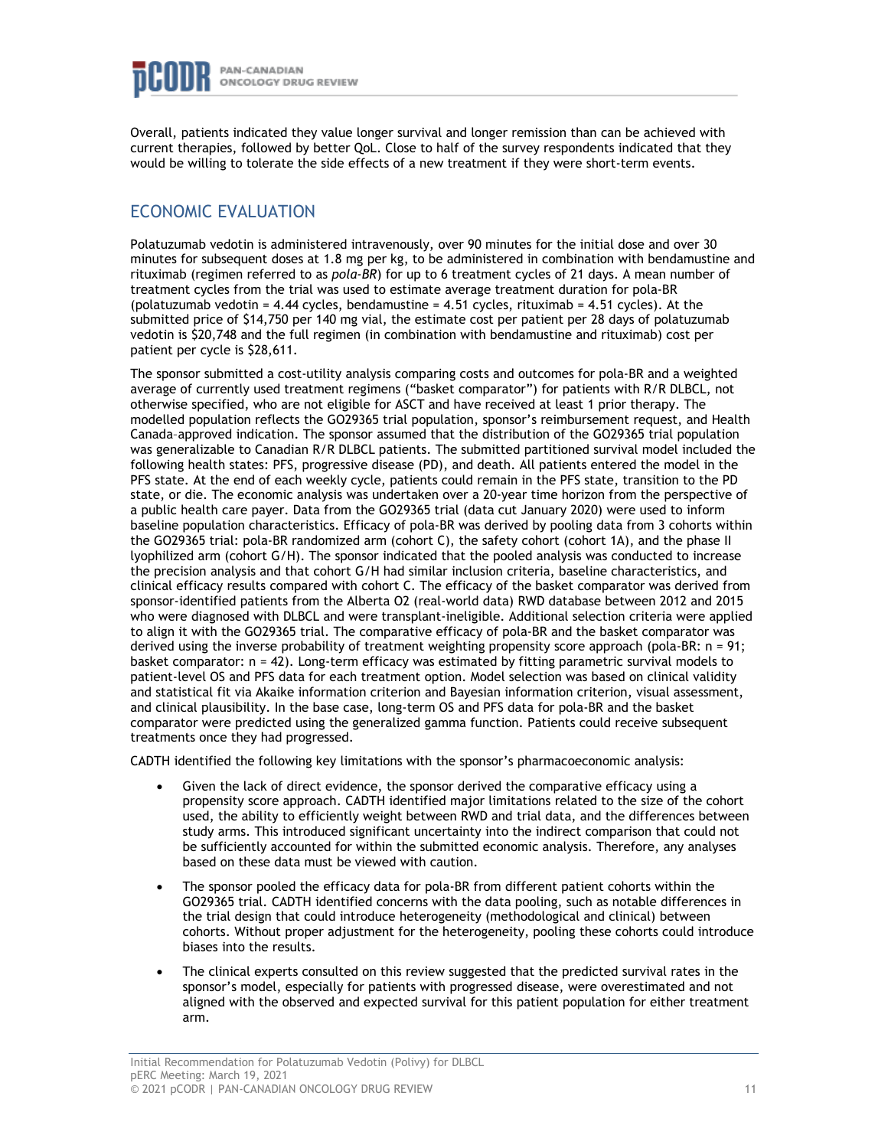

Overall, patients indicated they value longer survival and longer remission than can be achieved with current therapies, followed by better QoL. Close to half of the survey respondents indicated that they would be willing to tolerate the side effects of a new treatment if they were short-term events.

## ECONOMIC EVALUATION

Polatuzumab vedotin is administered intravenously, over 90 minutes for the initial dose and over 30 minutes for subsequent doses at 1.8 mg per kg, to be administered in combination with bendamustine and rituximab (regimen referred to as *pola-BR*) for up to 6 treatment cycles of 21 days. A mean number of treatment cycles from the trial was used to estimate average treatment duration for pola-BR (polatuzumab vedotin =  $4.44$  cycles, bendamustine =  $4.51$  cycles, rituximab =  $4.51$  cycles). At the submitted price of \$14,750 per 140 mg vial, the estimate cost per patient per 28 days of polatuzumab vedotin is \$20,748 and the full regimen (in combination with bendamustine and rituximab) cost per patient per cycle is \$28,611.

The sponsor submitted a cost-utility analysis comparing costs and outcomes for pola-BR and a weighted average of currently used treatment regimens ("basket comparator") for patients with R/R DLBCL, not otherwise specified, who are not eligible for ASCT and have received at least 1 prior therapy. The modelled population reflects the GO29365 trial population, sponsor's reimbursement request, and Health Canada–approved indication. The sponsor assumed that the distribution of the GO29365 trial population was generalizable to Canadian R/R DLBCL patients. The submitted partitioned survival model included the following health states: PFS, progressive disease (PD), and death. All patients entered the model in the PFS state. At the end of each weekly cycle, patients could remain in the PFS state, transition to the PD state, or die. The economic analysis was undertaken over a 20-year time horizon from the perspective of a public health care payer. Data from the GO29365 trial (data cut January 2020) were used to inform baseline population characteristics. Efficacy of pola-BR was derived by pooling data from 3 cohorts within the GO29365 trial: pola-BR randomized arm (cohort C), the safety cohort (cohort 1A), and the phase II lyophilized arm (cohort G/H). The sponsor indicated that the pooled analysis was conducted to increase the precision analysis and that cohort G/H had similar inclusion criteria, baseline characteristics, and clinical efficacy results compared with cohort C. The efficacy of the basket comparator was derived from sponsor-identified patients from the Alberta O2 (real-world data) RWD database between 2012 and 2015 who were diagnosed with DLBCL and were transplant-ineligible. Additional selection criteria were applied to align it with the GO29365 trial. The comparative efficacy of pola-BR and the basket comparator was derived using the inverse probability of treatment weighting propensity score approach (pola-BR: n = 91; basket comparator: n = 42). Long-term efficacy was estimated by fitting parametric survival models to patient-level OS and PFS data for each treatment option. Model selection was based on clinical validity and statistical fit via Akaike information criterion and Bayesian information criterion, visual assessment, and clinical plausibility. In the base case, long-term OS and PFS data for pola-BR and the basket comparator were predicted using the generalized gamma function. Patients could receive subsequent treatments once they had progressed.

CADTH identified the following key limitations with the sponsor's pharmacoeconomic analysis:

- Given the lack of direct evidence, the sponsor derived the comparative efficacy using a propensity score approach. CADTH identified major limitations related to the size of the cohort used, the ability to efficiently weight between RWD and trial data, and the differences between study arms. This introduced significant uncertainty into the indirect comparison that could not be sufficiently accounted for within the submitted economic analysis. Therefore, any analyses based on these data must be viewed with caution.
- The sponsor pooled the efficacy data for pola-BR from different patient cohorts within the GO29365 trial. CADTH identified concerns with the data pooling, such as notable differences in the trial design that could introduce heterogeneity (methodological and clinical) between cohorts. Without proper adjustment for the heterogeneity, pooling these cohorts could introduce biases into the results.
- The clinical experts consulted on this review suggested that the predicted survival rates in the sponsor's model, especially for patients with progressed disease, were overestimated and not aligned with the observed and expected survival for this patient population for either treatment arm.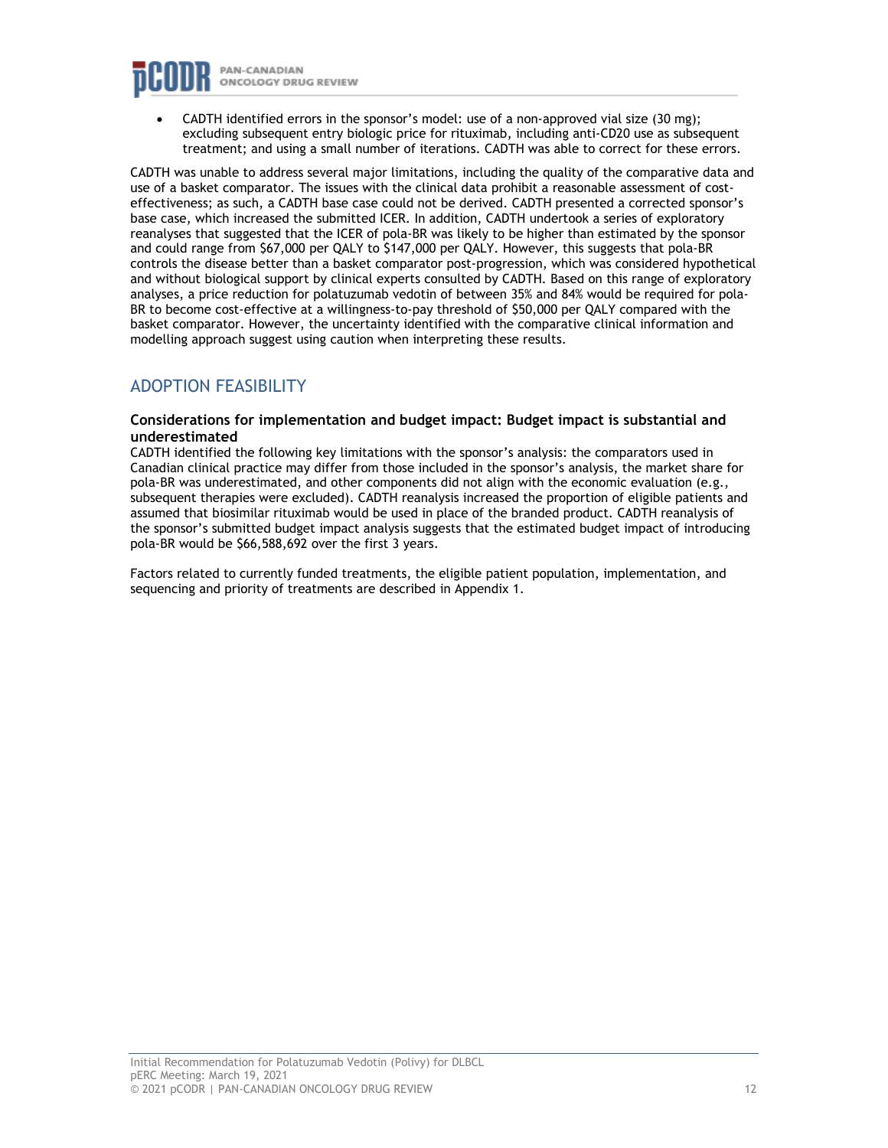

• CADTH identified errors in the sponsor's model: use of a non-approved vial size (30 mg); excluding subsequent entry biologic price for rituximab, including anti-CD20 use as subsequent treatment; and using a small number of iterations. CADTH was able to correct for these errors.

CADTH was unable to address several major limitations, including the quality of the comparative data and use of a basket comparator. The issues with the clinical data prohibit a reasonable assessment of costeffectiveness; as such, a CADTH base case could not be derived. CADTH presented a corrected sponsor's base case, which increased the submitted ICER. In addition, CADTH undertook a series of exploratory reanalyses that suggested that the ICER of pola-BR was likely to be higher than estimated by the sponsor and could range from \$67,000 per QALY to \$147,000 per QALY. However, this suggests that pola-BR controls the disease better than a basket comparator post-progression, which was considered hypothetical and without biological support by clinical experts consulted by CADTH. Based on this range of exploratory analyses, a price reduction for polatuzumab vedotin of between 35% and 84% would be required for pola-BR to become cost-effective at a willingness-to-pay threshold of \$50,000 per QALY compared with the basket comparator. However, the uncertainty identified with the comparative clinical information and modelling approach suggest using caution when interpreting these results.

## ADOPTION FEASIBILITY

#### **Considerations for implementation and budget impact: Budget impact is substantial and underestimated**

CADTH identified the following key limitations with the sponsor's analysis: the comparators used in Canadian clinical practice may differ from those included in the sponsor's analysis, the market share for pola-BR was underestimated, and other components did not align with the economic evaluation (e.g., subsequent therapies were excluded). CADTH reanalysis increased the proportion of eligible patients and assumed that biosimilar rituximab would be used in place of the branded product. CADTH reanalysis of the sponsor's submitted budget impact analysis suggests that the estimated budget impact of introducing pola-BR would be \$66,588,692 over the first 3 years.

Factors related to currently funded treatments, the eligible patient population, implementation, and sequencing and priority of treatments are described in Appendix 1.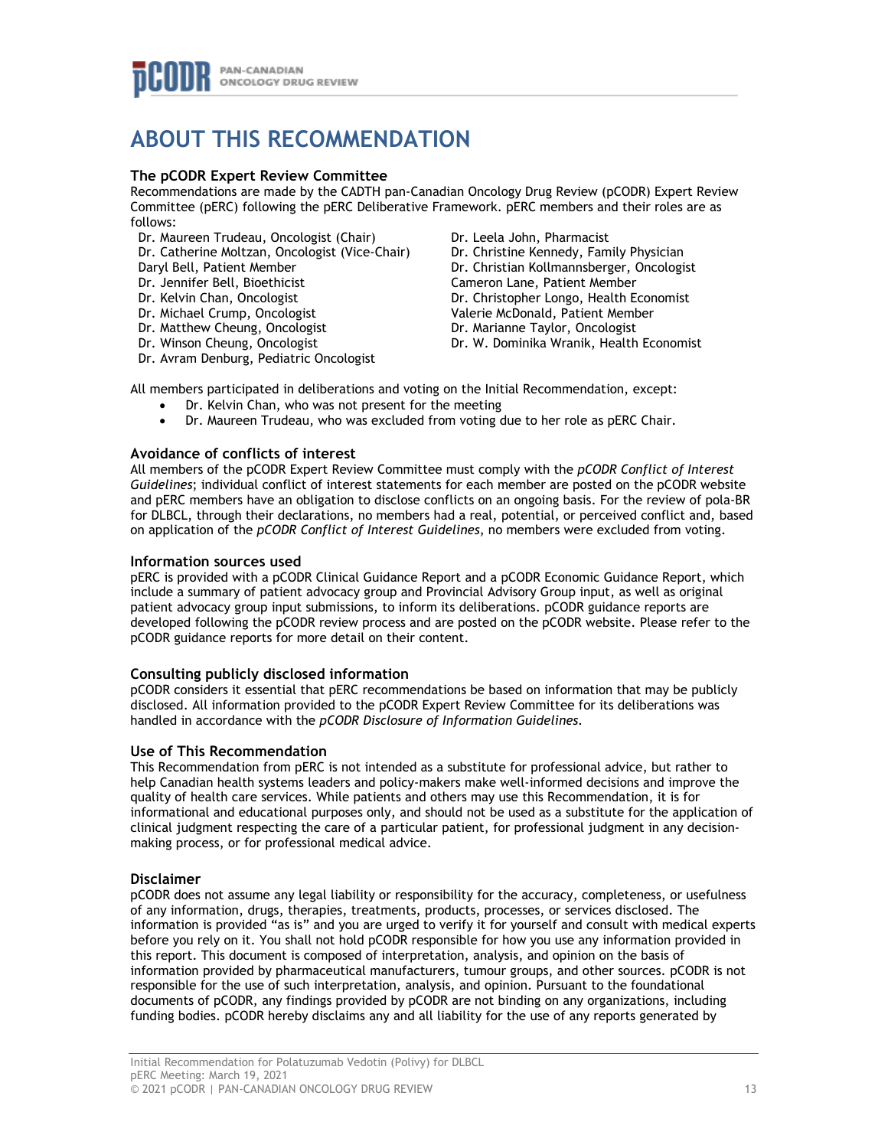## **ABOUT THIS RECOMMENDATION**

#### **The pCODR Expert Review Committee**

Recommendations are made by the CADTH pan-Canadian Oncology Drug Review (pCODR) Expert Review Committee (pERC) following the pERC Deliberative Framework. pERC members and their roles are as follows:

- Dr. Maureen Trudeau, Oncologist (Chair)
- Dr. Catherine Moltzan, Oncologist (Vice-Chair)
- Daryl Bell, Patient Member
- Dr. Jennifer Bell, Bioethicist
- Dr. Kelvin Chan, Oncologist
- Dr. Michael Crump, Oncologist
- Dr. Matthew Cheung, Oncologist
- Dr. Winson Cheung, Oncologist
- Dr. Avram Denburg, Pediatric Oncologist

Dr. Leela John, Pharmacist Dr. Christine Kennedy, Family Physician Dr. Christian Kollmannsberger, Oncologist Cameron Lane, Patient Member Dr. Christopher Longo, Health Economist Valerie McDonald, Patient Member Dr. Marianne Taylor, Oncologist Dr. W. Dominika Wranik, Health Economist

All members participated in deliberations and voting on the Initial Recommendation, except:

- Dr. Kelvin Chan, who was not present for the meeting
- Dr. Maureen Trudeau, who was excluded from voting due to her role as pERC Chair.

#### **Avoidance of conflicts of interest**

All members of the pCODR Expert Review Committee must comply with the *pCODR Conflict of Interest Guidelines*; individual conflict of interest statements for each member are posted on the pCODR website and pERC members have an obligation to disclose conflicts on an ongoing basis. For the review of pola-BR for DLBCL, through their declarations, no members had a real, potential, or perceived conflict and, based on application of the *pCODR Conflict of Interest Guidelines*, no members were excluded from voting.

#### **Information sources used**

pERC is provided with a pCODR Clinical Guidance Report and a pCODR Economic Guidance Report, which include a summary of patient advocacy group and Provincial Advisory Group input, as well as original patient advocacy group input submissions, to inform its deliberations. pCODR guidance reports are developed following the pCODR review process and are posted on the pCODR website. Please refer to the pCODR guidance reports for more detail on their content.

#### **Consulting publicly disclosed information**

pCODR considers it essential that pERC recommendations be based on information that may be publicly disclosed. All information provided to the pCODR Expert Review Committee for its deliberations was handled in accordance with the *pCODR Disclosure of Information Guidelines*.

#### **Use of This Recommendation**

This Recommendation from pERC is not intended as a substitute for professional advice, but rather to help Canadian health systems leaders and policy-makers make well-informed decisions and improve the quality of health care services. While patients and others may use this Recommendation, it is for informational and educational purposes only, and should not be used as a substitute for the application of clinical judgment respecting the care of a particular patient, for professional judgment in any decisionmaking process, or for professional medical advice.

#### **Disclaimer**

pCODR does not assume any legal liability or responsibility for the accuracy, completeness, or usefulness of any information, drugs, therapies, treatments, products, processes, or services disclosed. The information is provided "as is" and you are urged to verify it for yourself and consult with medical experts before you rely on it. You shall not hold pCODR responsible for how you use any information provided in this report. This document is composed of interpretation, analysis, and opinion on the basis of information provided by pharmaceutical manufacturers, tumour groups, and other sources. pCODR is not responsible for the use of such interpretation, analysis, and opinion. Pursuant to the foundational documents of pCODR, any findings provided by pCODR are not binding on any organizations, including funding bodies. pCODR hereby disclaims any and all liability for the use of any reports generated by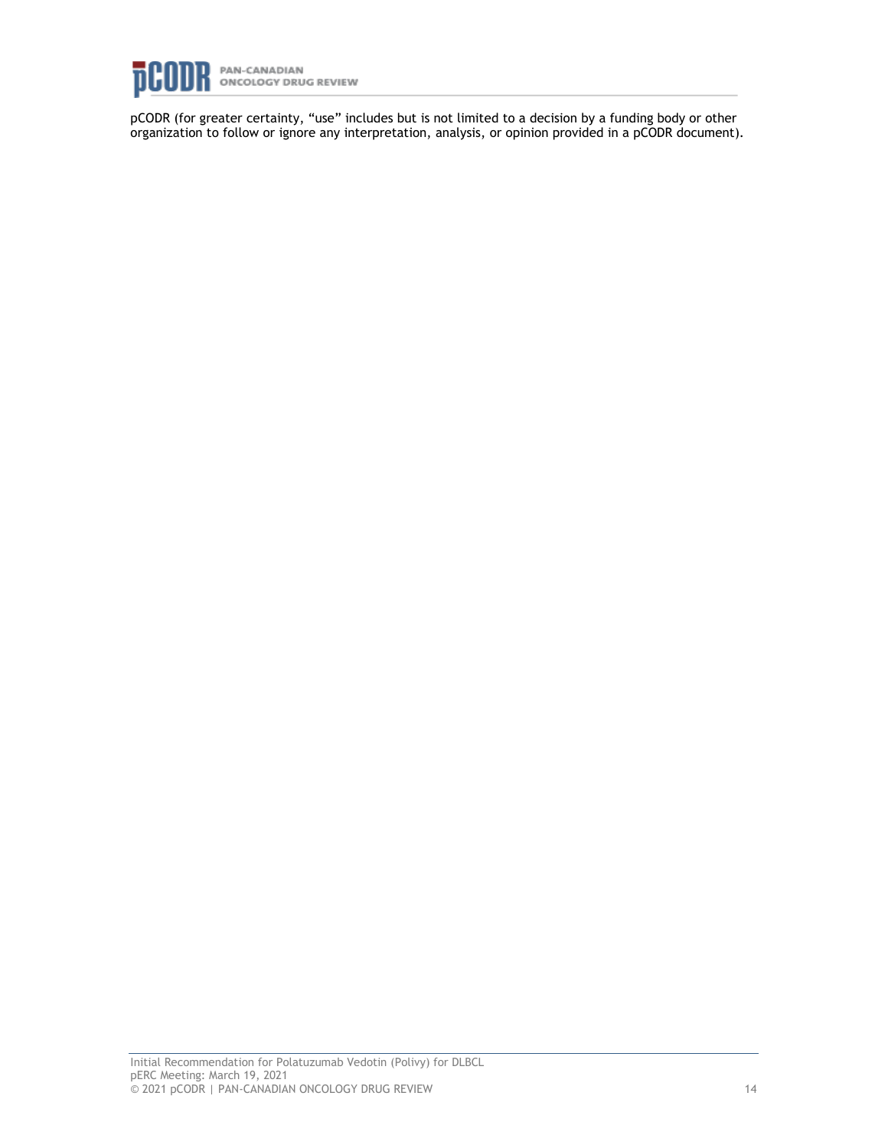

pCODR (for greater certainty, "use" includes but is not limited to a decision by a funding body or other organization to follow or ignore any interpretation, analysis, or opinion provided in a pCODR document).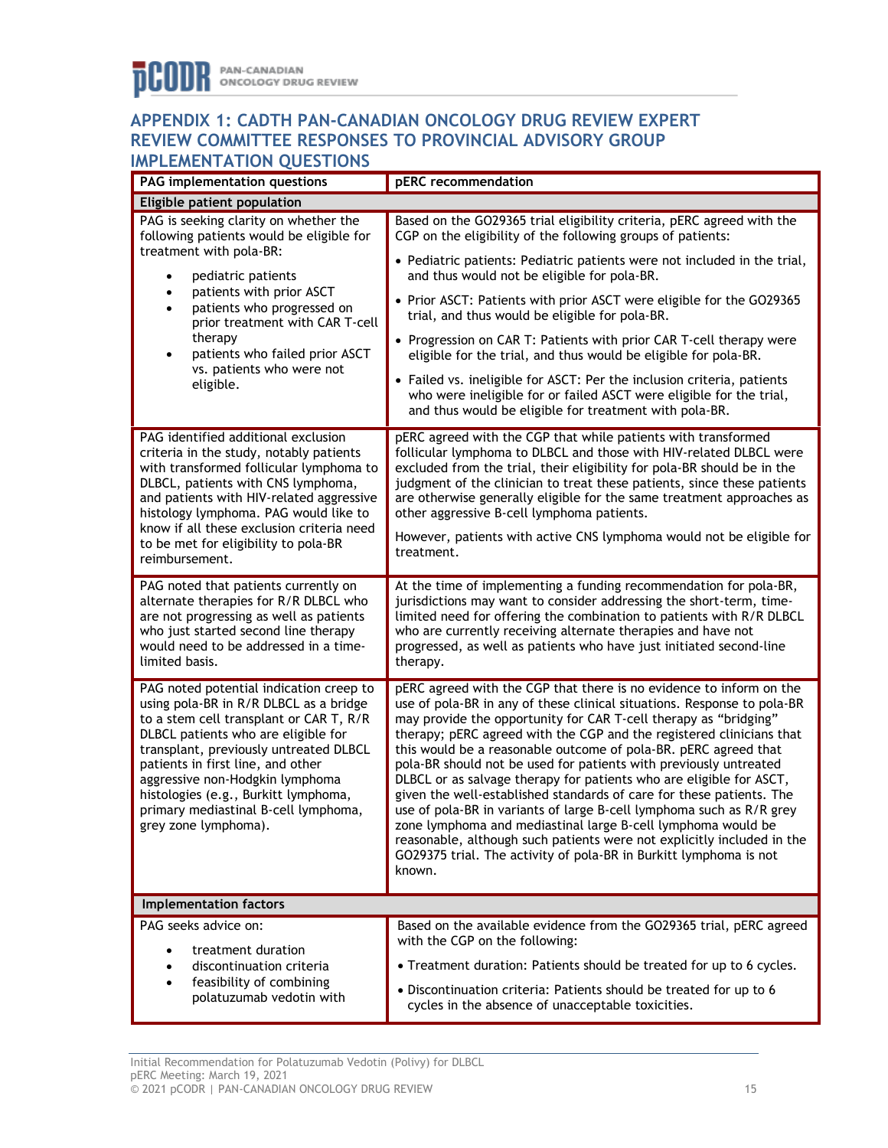### **APPENDIX 1: CADTH PAN-CANADIAN ONCOLOGY DRUG REVIEW EXPERT REVIEW COMMITTEE RESPONSES TO PROVINCIAL ADVISORY GROUP IMPLEMENTATION QUESTIONS**

| PAG implementation questions                                                                                                                                                                                                                                                                                                                                                                  | pERC recommendation                                                                                                                                                                                                                                                                                                                                                                                                                                                                                                                                                                                                                                                                                                                                                                                                                                                                |  |
|-----------------------------------------------------------------------------------------------------------------------------------------------------------------------------------------------------------------------------------------------------------------------------------------------------------------------------------------------------------------------------------------------|------------------------------------------------------------------------------------------------------------------------------------------------------------------------------------------------------------------------------------------------------------------------------------------------------------------------------------------------------------------------------------------------------------------------------------------------------------------------------------------------------------------------------------------------------------------------------------------------------------------------------------------------------------------------------------------------------------------------------------------------------------------------------------------------------------------------------------------------------------------------------------|--|
| Eligible patient population                                                                                                                                                                                                                                                                                                                                                                   |                                                                                                                                                                                                                                                                                                                                                                                                                                                                                                                                                                                                                                                                                                                                                                                                                                                                                    |  |
| PAG is seeking clarity on whether the<br>following patients would be eligible for<br>treatment with pola-BR:<br>pediatric patients<br>$\bullet$<br>patients with prior ASCT<br>$\bullet$<br>patients who progressed on<br>$\bullet$<br>prior treatment with CAR T-cell<br>therapy<br>patients who failed prior ASCT<br>$\bullet$<br>vs. patients who were not<br>eligible.                    | Based on the GO29365 trial eligibility criteria, pERC agreed with the<br>CGP on the eligibility of the following groups of patients:<br>• Pediatric patients: Pediatric patients were not included in the trial,<br>and thus would not be eligible for pola-BR.<br>• Prior ASCT: Patients with prior ASCT were eligible for the GO29365<br>trial, and thus would be eligible for pola-BR.<br>• Progression on CAR T: Patients with prior CAR T-cell therapy were<br>eligible for the trial, and thus would be eligible for pola-BR.<br>• Failed vs. ineligible for ASCT: Per the inclusion criteria, patients<br>who were ineligible for or failed ASCT were eligible for the trial,<br>and thus would be eligible for treatment with pola-BR.                                                                                                                                     |  |
| PAG identified additional exclusion<br>criteria in the study, notably patients<br>with transformed follicular lymphoma to<br>DLBCL, patients with CNS lymphoma,<br>and patients with HIV-related aggressive<br>histology lymphoma. PAG would like to<br>know if all these exclusion criteria need<br>to be met for eligibility to pola-BR<br>reimbursement.                                   | pERC agreed with the CGP that while patients with transformed<br>follicular lymphoma to DLBCL and those with HIV-related DLBCL were<br>excluded from the trial, their eligibility for pola-BR should be in the<br>judgment of the clinician to treat these patients, since these patients<br>are otherwise generally eligible for the same treatment approaches as<br>other aggressive B-cell lymphoma patients.<br>However, patients with active CNS lymphoma would not be eligible for<br>treatment.                                                                                                                                                                                                                                                                                                                                                                             |  |
| PAG noted that patients currently on<br>alternate therapies for R/R DLBCL who<br>are not progressing as well as patients<br>who just started second line therapy<br>would need to be addressed in a time-<br>limited basis.                                                                                                                                                                   | At the time of implementing a funding recommendation for pola-BR,<br>jurisdictions may want to consider addressing the short-term, time-<br>limited need for offering the combination to patients with R/R DLBCL<br>who are currently receiving alternate therapies and have not<br>progressed, as well as patients who have just initiated second-line<br>therapy.                                                                                                                                                                                                                                                                                                                                                                                                                                                                                                                |  |
| PAG noted potential indication creep to<br>using pola-BR in R/R DLBCL as a bridge<br>to a stem cell transplant or CAR T, R/R<br>DLBCL patients who are eligible for<br>transplant, previously untreated DLBCL<br>patients in first line, and other<br>aggressive non-Hodgkin lymphoma<br>histologies (e.g., Burkitt lymphoma,<br>primary mediastinal B-cell lymphoma,<br>grey zone lymphoma). | pERC agreed with the CGP that there is no evidence to inform on the<br>use of pola-BR in any of these clinical situations. Response to pola-BR<br>may provide the opportunity for CAR T-cell therapy as "bridging"<br>therapy; pERC agreed with the CGP and the registered clinicians that<br>this would be a reasonable outcome of pola-BR. pERC agreed that<br>pola-BR should not be used for patients with previously untreated<br>DLBCL or as salvage therapy for patients who are eligible for ASCT,<br>given the well-established standards of care for these patients. The<br>use of pola-BR in variants of large B-cell lymphoma such as R/R grey<br>zone lymphoma and mediastinal large B-cell lymphoma would be<br>reasonable, although such patients were not explicitly included in the<br>GO29375 trial. The activity of pola-BR in Burkitt lymphoma is not<br>known. |  |
| <b>Implementation factors</b>                                                                                                                                                                                                                                                                                                                                                                 |                                                                                                                                                                                                                                                                                                                                                                                                                                                                                                                                                                                                                                                                                                                                                                                                                                                                                    |  |
| PAG seeks advice on:<br>treatment duration<br>discontinuation criteria<br>$\bullet$<br>feasibility of combining<br>$\bullet$<br>polatuzumab vedotin with                                                                                                                                                                                                                                      | Based on the available evidence from the GO29365 trial, pERC agreed<br>with the CGP on the following:<br>• Treatment duration: Patients should be treated for up to 6 cycles.<br>• Discontinuation criteria: Patients should be treated for up to 6<br>cycles in the absence of unacceptable toxicities.                                                                                                                                                                                                                                                                                                                                                                                                                                                                                                                                                                           |  |